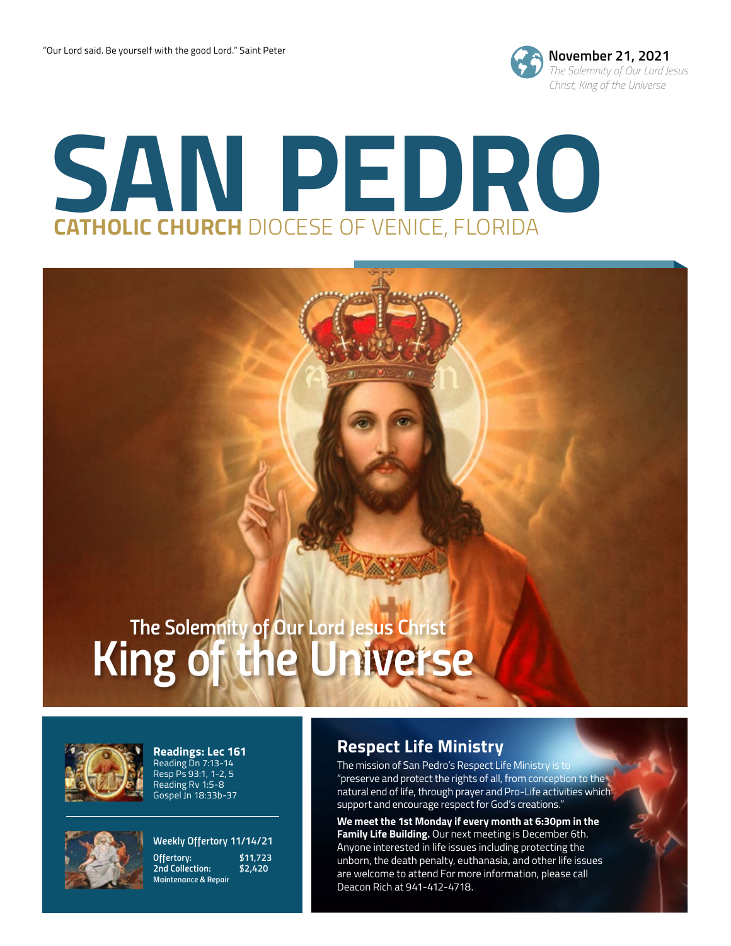

# **SAN PEDRO CATHOLIC CHURCH** DIOCESE OF VENICE, FLORIDA

# *King of the Universe The Solemnity of Our Lord Jesus Christ*



**Readings: Lec 161** Reading Dn 7:13-14 Resp Ps 93:1, 1-2, 5 Reading Rv 1:5-8 Gospel Jn 18:33b-37



*Weekly Offertory 11/14/21 Offertory: \$11,723 2nd Collection: \$2,420 Maintenance & Repair*

## **Respect Life Ministry**

The mission of San Pedro's Respect Life Ministry is to "preserve and protect the rights of all, from conception to the natural end of life, through prayer and Pro-Life activities which support and encourage respect for God's creations."

**We meet the 1st Monday if every month at 6:30pm in the Family Life Building.** Our next meeting is December 6th. Anyone interested in life issues including protecting the unborn, the death penalty, euthanasia, and other life issues are welcome to attend For more information, please call Deacon Rich at 941-412-4718.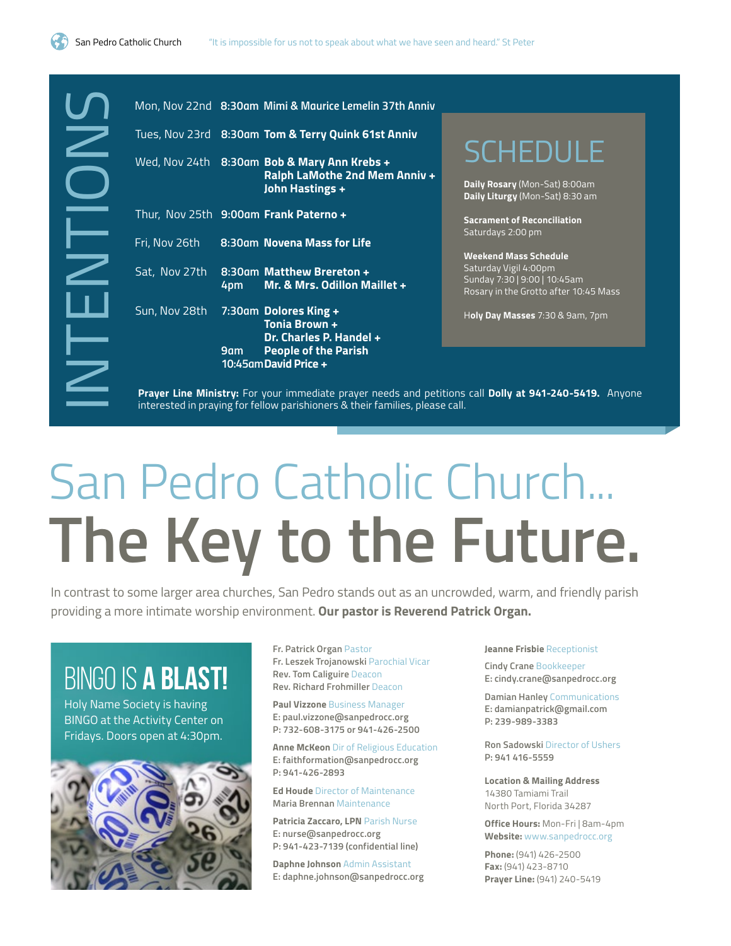

|                         |                                                                                                  |     | Mon, Nov 22nd 8:30am Mimi & Maurice Lemelin 37th Anniv                                                                                                                                   |                                                                                                                                |
|-------------------------|--------------------------------------------------------------------------------------------------|-----|------------------------------------------------------------------------------------------------------------------------------------------------------------------------------------------|--------------------------------------------------------------------------------------------------------------------------------|
|                         |                                                                                                  |     | Tues, Nov 23rd 8:30am Tom & Terry Quink 61st Anniv                                                                                                                                       |                                                                                                                                |
| $\sum\limits_{i=1}^{N}$ |                                                                                                  |     | Wed, Nov 24th 8:30am Bob & Mary Ann Krebs +<br>Ralph LaMothe 2nd Mem Anniv +<br>John Hastings +                                                                                          | <b>SCHEDULE</b><br>Daily Rosary (Mon-Sat) 8:00am<br>Daily Liturgy (Mon-Sat) 8:30 am                                            |
|                         |                                                                                                  |     | Thur, Nov 25th 9:00am Frank Paterno +                                                                                                                                                    | <b>Sacrament of Reconciliation</b>                                                                                             |
|                         | Fri, Nov 26th                                                                                    |     | 8:30am Novena Mass for Life                                                                                                                                                              | Saturdays 2:00 pm                                                                                                              |
|                         | Sat, Nov 27th                                                                                    | 4pm | 8:30am Matthew Brereton +<br>Mr. & Mrs. Odillon Maillet +                                                                                                                                | <b>Weekend Mass Schedule</b><br>Saturday Vigil 4:00pm<br>Sunday 7:30   9:00   10:45am<br>Rosary in the Grotto after 10:45 Mass |
|                         | Sun, Nov 28th                                                                                    |     | 7:30am Dolores King +<br>Tonia Brown +<br>Dr. Charles P. Handel +                                                                                                                        | Holy Day Masses 7:30 & 9am, 7pm                                                                                                |
| $\geq$                  |                                                                                                  | 9am | <b>People of the Parish</b><br>10:45am David Price +                                                                                                                                     |                                                                                                                                |
|                         |                                                                                                  |     |                                                                                                                                                                                          |                                                                                                                                |
|                         |                                                                                                  |     | San Pedro Catholic Church                                                                                                                                                                |                                                                                                                                |
|                         |                                                                                                  |     | The Key to the Future                                                                                                                                                                    |                                                                                                                                |
|                         |                                                                                                  |     | contrast to some larger area churches, San Pedro stands out as an uncrowded, warm, and friendly pa<br>oviding a more intimate worship environment. Our pastor is Reverend Patrick Organ. |                                                                                                                                |
|                         |                                                                                                  |     | Fr. Patrick Organ Pastor                                                                                                                                                                 | Jeanne Frisbie Receptionist                                                                                                    |
|                         | BINGO IS <b>A BLAST!</b>                                                                         |     | Fr. Leszek Trojanowski Parochial Vicar<br>Rev. Tom Caliguire Deacon                                                                                                                      | <b>Cindy Crane Bookkeeper</b><br>E: cindy.crane@sanpedrocc.org                                                                 |
|                         | Holy Name Society is having<br>BINGO at the Activity Center on<br>Fridays. Doors open at 4:30pm. |     | <b>Rev. Richard Frohmiller Deacon</b><br><b>Paul Vizzone Business Manager</b><br>E: paul.vizzone@sanpedrocc.org<br>P: 732-608-3175 or 941-426-2500                                       | <b>Damian Hanley Communications</b><br>E: damianpatrick@gmail.com<br>P: 239-989-3383                                           |
|                         |                                                                                                  |     |                                                                                                                                                                                          |                                                                                                                                |

# San Pedro Catholic Church... **The Key to the Future.**

In contrast to some larger area churches, San Pedro stands out as an uncrowded, warm, and friendly parish providing a more intimate worship environment. **Our pastor is Reverend Patrick Organ.** 

## BINGO IS A BLAST!



**Anne McKeon** Dir of Religious Education **E: faithformation@sanpedrocc.org P: 941-426-2893**

**Ed Houde** Director of Maintenance **Maria Brennan** Maintenance

**Patricia Zaccaro, LPN** Parish Nurse **E: nurse@sanpedrocc.org P: 941-423-7139 (confidential line)**

**Daphne Johnson** Admin Assistant **E: daphne.johnson@sanpedrocc.org** **Ron Sadowski** Director of Ushers **P: 941 416-5559**

**Location & Mailing Address** 14380 Tamiami Trail North Port, Florida 34287

**Office Hours:** Mon-Fri | 8am-4pm **Website:** www.sanpedrocc.org

**Phone:** (941) 426-2500 **Fax:** (941) 423-8710 **Prayer Line:** (941) 240-5419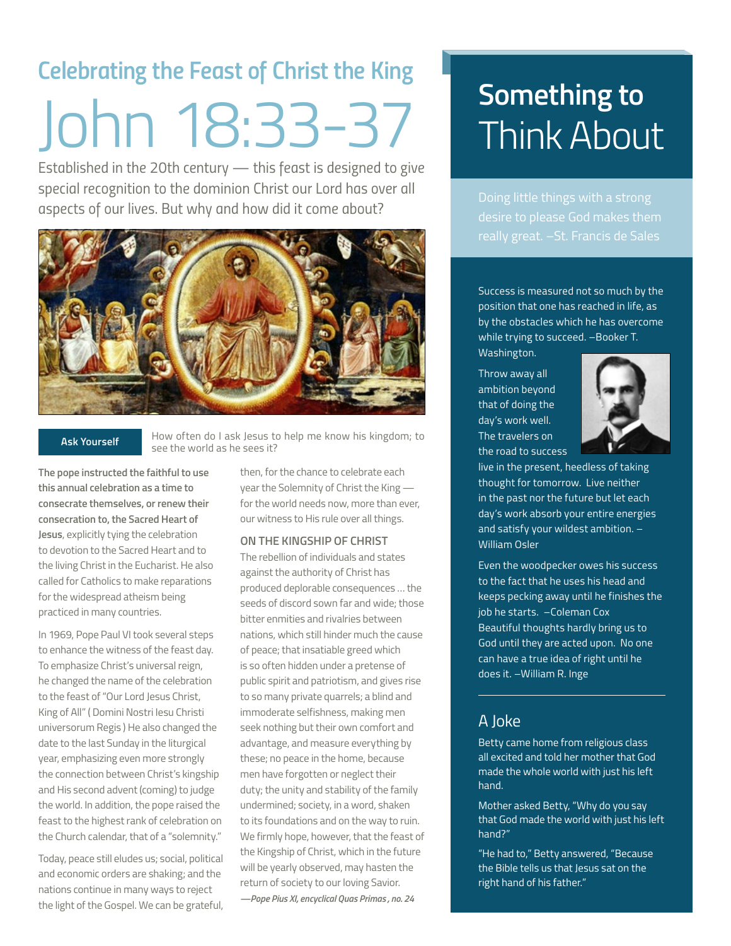# *Celebrating the Feast of Christ the King* John 18:33-37

*Established in the 20th century — this feast is designed to give special recognition to the dominion Christ our Lord has over all aspects of our lives. But why and how did it come about?*



#### **Ask Yourself**

How often do I ask Jesus to help me know his kingdom; to see the world as he sees it?

**The pope instructed the faithful to use this annual celebration as a time to consecrate themselves, or renew their consecration to, the Sacred Heart of Jesus**, explicitly tying the celebration to devotion to the Sacred Heart and to the living Christ in the Eucharist. He also called for Catholics to make reparations for the widespread atheism being practiced in many countries.

In 1969, Pope Paul VI took several steps to enhance the witness of the feast day. To emphasize Christ's universal reign, he changed the name of the celebration to the feast of "Our Lord Jesus Christ, King of All" ( Domini Nostri Iesu Christi universorum Regis ) He also changed the date to the last Sunday in the liturgical year, emphasizing even more strongly the connection between Christ's kingship and His second advent (coming) to judge the world. In addition, the pope raised the feast to the highest rank of celebration on the Church calendar, that of a "solemnity."

Today, peace still eludes us; social, political and economic orders are shaking; and the nations continue in many ways to reject the light of the Gospel. We can be grateful,

then, for the chance to celebrate each year the Solemnity of Christ the King for the world needs now, more than ever, our witness to His rule over all things.

#### **ON THE KINGSHIP OF CHRIST**

The rebellion of individuals and states against the authority of Christ has produced deplorable consequences … the seeds of discord sown far and wide; those bitter enmities and rivalries between nations, which still hinder much the cause of peace; that insatiable greed which is so often hidden under a pretense of public spirit and patriotism, and gives rise to so many private quarrels; a blind and immoderate selfishness, making men seek nothing but their own comfort and advantage, and measure everything by these; no peace in the home, because men have forgotten or neglect their duty; the unity and stability of the family undermined; society, in a word, shaken to its foundations and on the way to ruin. We firmly hope, however, that the feast of the Kingship of Christ, which in the future will be yearly observed, may hasten the return of society to our loving Savior.

#### *—Pope Pius XI, encyclical Quas Primas , no. 24*

# **Something to** Think About

Doing little things with a strong

Success is measured not so much by the position that one has reached in life, as by the obstacles which he has overcome while trying to succeed. –Booker T.

Washington.

Throw away all ambition beyond that of doing the day's work well. The travelers on the road to success



live in the present, heedless of taking thought for tomorrow. Live neither in the past nor the future but let each day's work absorb your entire energies and satisfy your wildest ambition. – William Osler

Even the woodpecker owes his success to the fact that he uses his head and keeps pecking away until he finishes the job he starts. –Coleman Cox Beautiful thoughts hardly bring us to God until they are acted upon. No one can have a true idea of right until he does it. –William R. Inge

## A Joke

Betty came home from religious class all excited and told her mother that God made the whole world with just his left hand.

Mother asked Betty, "Why do you say that God made the world with just his left hand?"

"He had to," Betty answered, "Because the Bible tells us that Jesus sat on the right hand of his father."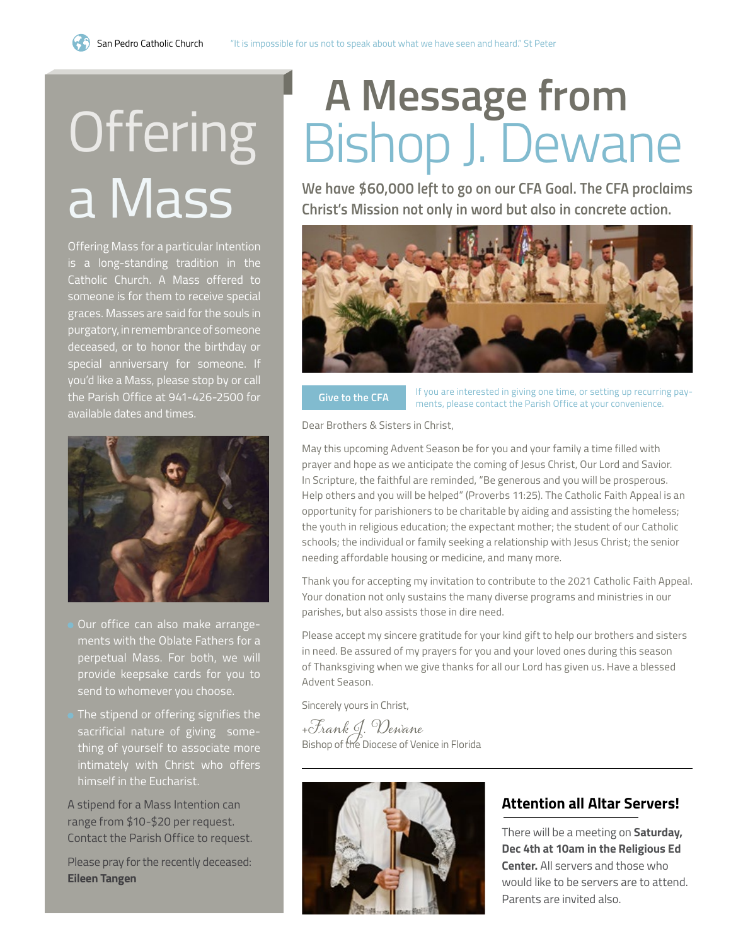# **Offering** a Mass

Offering Mass for a particular Intention is a long-standing tradition in the Catholic Church. A Mass offered to someone is for them to receive special graces. Masses are said for the souls in purgatory, in remembrance of someone deceased, or to honor the birthday or special anniversary for someone. If you'd like a Mass, please stop by or call the Parish Office at 941-426-2500 for available dates and times.



- Our office can also make arrangements with the Oblate Fathers for a perpetual Mass. For both, we will provide keepsake cards for you to send to whomever you choose.
- The stipend or offering signifies the sacrificial nature of giving something of yourself to associate more intimately with Christ who offers himself in the Eucharist.

A stipend for a Mass Intention can range from \$10-\$20 per request. Contact the Parish Office to request.

Please pray for the recently deceased: **Eileen Tangen**

# **A Message from**  Bishop J. Dewane

*We have \$60,000 left to go on our CFA Goal. The CFA proclaims Christ's Mission not only in word but also in concrete action.* 



If you are interested in giving one time, or setting up recurring pay-**Give to the CFA** Figure 10 M are interested in giving one time, or setting up recurring<br>ments, please contact the Parish Office at your convenience.

Dear Brothers & Sisters in Christ,

May this upcoming Advent Season be for you and your family a time filled with prayer and hope as we anticipate the coming of Jesus Christ, Our Lord and Savior. In Scripture, the faithful are reminded, "Be generous and you will be prosperous. Help others and you will be helped" (Proverbs 11:25). The Catholic Faith Appeal is an opportunity for parishioners to be charitable by aiding and assisting the homeless; the youth in religious education; the expectant mother; the student of our Catholic schools; the individual or family seeking a relationship with Jesus Christ; the senior needing affordable housing or medicine, and many more.

Thank you for accepting my invitation to contribute to the 2021 Catholic Faith Appeal. Your donation not only sustains the many diverse programs and ministries in our parishes, but also assists those in dire need.

Please accept my sincere gratitude for your kind gift to help our brothers and sisters in need. Be assured of my prayers for you and your loved ones during this season of Thanksgiving when we give thanks for all our Lord has given us. Have a blessed Advent Season.

Sincerely yours in Christ,

<sup>+</sup>Frank J. Dewane Bishop of the Diocese of Venice in Florida



## **Attention all Altar Servers!**

There will be a meeting on **Saturday, Dec 4th at 10am in the Religious Ed Center.** All servers and those who would like to be servers are to attend. Parents are invited also.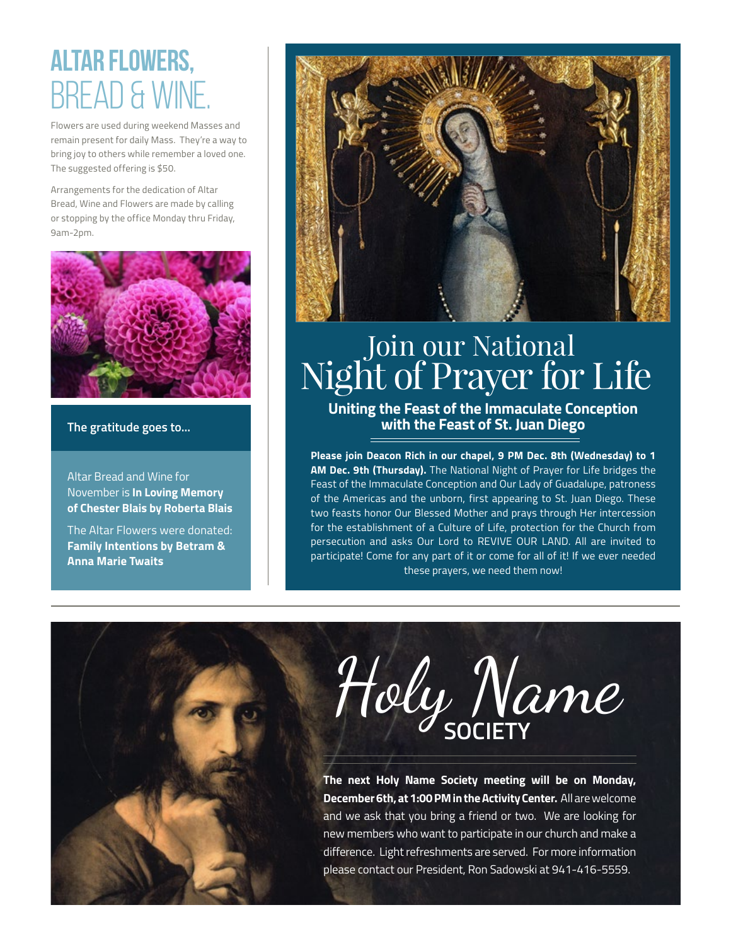# altar flowers, BREAD & WII

Flowers are used during weekend Masses and remain present for daily Mass. They're a way to bring joy to others while remember a loved one. The suggested offering is \$50.

Arrangements for the dedication of Altar Bread, Wine and Flowers are made by calling or stopping by the office Monday thru Friday, 9am-2pm.



#### **The gratitude goes to...**

Altar Bread and Wine for November is **In Loving Memory of Chester Blais by Roberta Blais**

The Altar Flowers were donated: **Family Intentions by Betram & Anna Marie Twaits**



# Join our National Night of Prayer for Life

**Uniting the Feast of the Immaculate Conception with the Feast of St. Juan Diego**

**Please join Deacon Rich in our chapel, 9 PM Dec. 8th (Wednesday) to 1 AM Dec. 9th (Thursday).** The National Night of Prayer for Life bridges the Feast of the Immaculate Conception and Our Lady of Guadalupe, patroness of the Americas and the unborn, first appearing to St. Juan Diego. These two feasts honor Our Blessed Mother and prays through Her intercession for the establishment of a Culture of Life, protection for the Church from persecution and asks Our Lord to REVIVE OUR LAND. All are invited to participate! Come for any part of it or come for all of it! If we ever needed these prayers, we need them now!

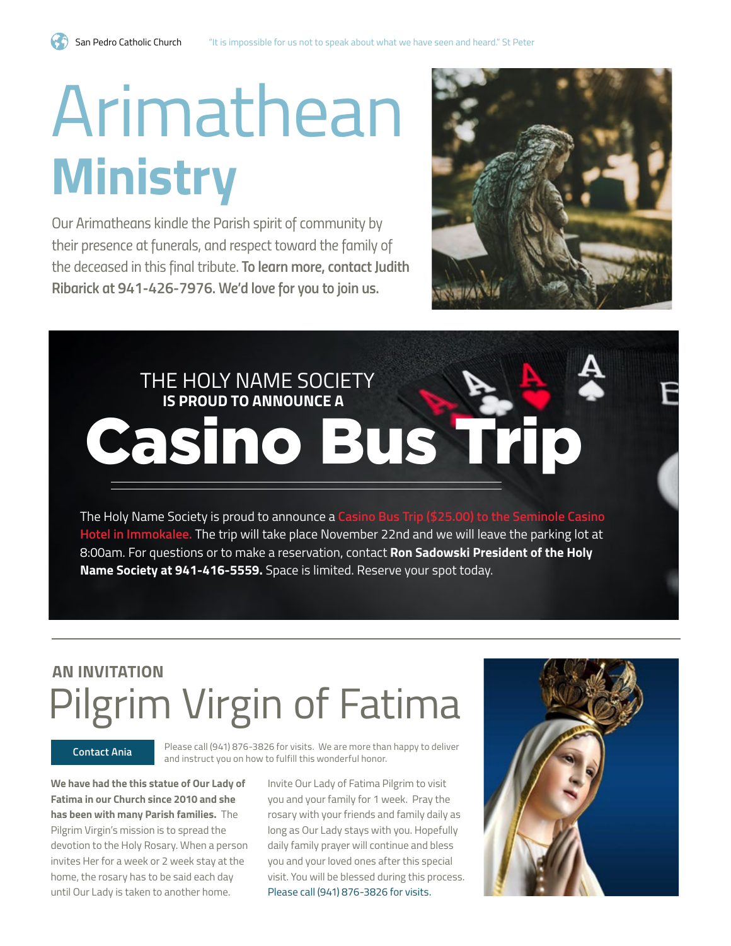# Arimathean **Ministry**

*Our Arimatheans kindle the Parish spirit of community by their presence at funerals, and respect toward the family of the deceased in this final tribute. To learn more, contact Judith Ribarick at 941-426-7976. We'd love for you to join us.*



# THE HOLY NAME SOCIETY  **IS PROUD TO ANNOUNCE A** Casino Bus Trip

The Holy Name Society is proud to announce a **Casino Bus Trip (\$25.00) to the Seminole Casino Hotel in Immokalee.** The trip will take place November 22nd and we will leave the parking lot at 8:00am. For questions or to make a reservation, contact **Ron Sadowski President of the Holy Name Society at 941-416-5559.** Space is limited. Reserve your spot today.

## **AN INVITATION** Pilgrim Virgin of Fatima

Please call (941) 876-3826 for visits. We are more than happy to deliver **Contact Ania**<br>and instruct you on how to fulfill this wonderful honor.

**We have had the this statue of Our Lady of Fatima in our Church since 2010 and she has been with many Parish families.** The Pilgrim Virgin's mission is to spread the devotion to the Holy Rosary. When a person invites Her for a week or 2 week stay at the home, the rosary has to be said each day until Our Lady is taken to another home.

Invite Our Lady of Fatima Pilgrim to visit you and your family for 1 week. Pray the rosary with your friends and family daily as long as Our Lady stays with you. Hopefully daily family prayer will continue and bless you and your loved ones after this special visit. You will be blessed during this process. Please call (941) 876-3826 for visits.